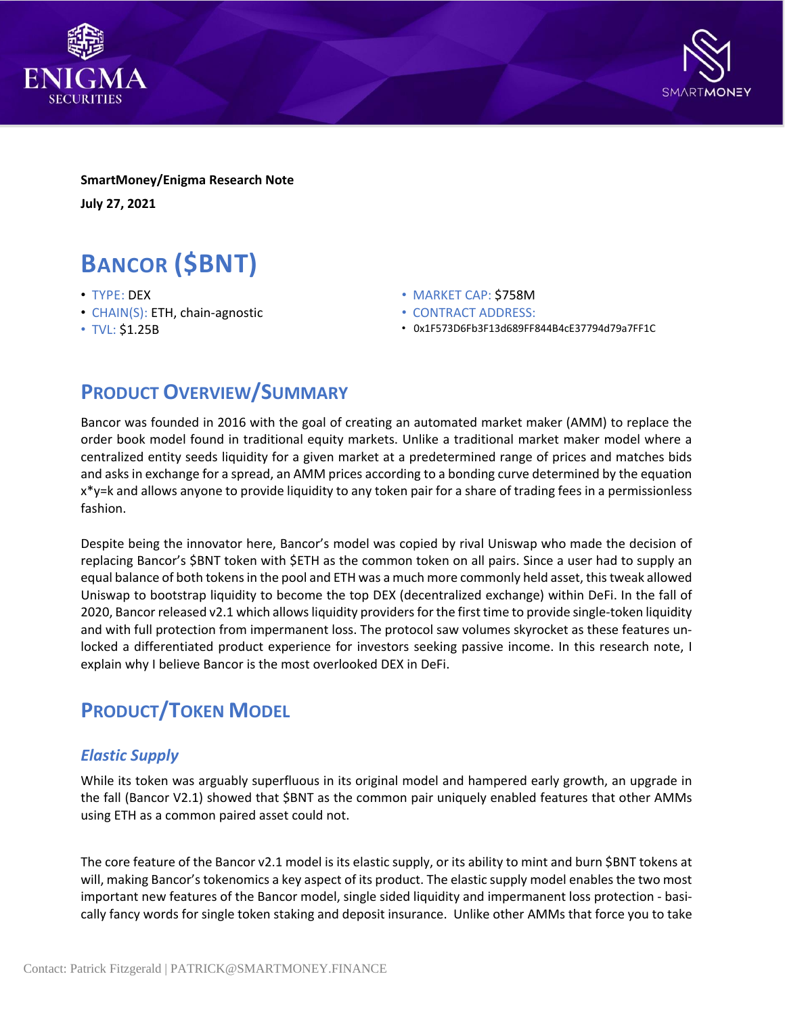



**SmartMoney/Enigma Research Note July 27, 2021**

# **BANCOR (\$BNT)**

- TYPE: DEX
- CHAIN(S): ETH, chain-agnostic
- TVL: \$1.25B
- MARKET CAP: \$758M
- CONTRACT ADDRESS:
- 0x1F573D6Fb3F13d689FF844B4cE37794d79a7FF1C

## **PRODUCT OVERVIEW/SUMMARY**

Bancor was founded in 2016 with the goal of creating an automated market maker (AMM) to replace the order book model found in traditional equity markets. Unlike a traditional market maker model where a centralized entity seeds liquidity for a given market at a predetermined range of prices and matches bids and asksin exchange for a spread, an AMM prices according to a bonding curve determined by the equation x\*y=k and allows anyone to provide liquidity to any token pair for a share of trading fees in a permissionless fashion.

Despite being the innovator here, Bancor's model was copied by rival Uniswap who made the decision of replacing Bancor's \$BNT token with \$ETH as the common token on all pairs. Since a user had to supply an equal balance of both tokensin the pool and ETH was a much more commonly held asset, thistweak allowed Uniswap to bootstrap liquidity to become the top DEX (decentralized exchange) within DeFi. In the fall of 2020, Bancor released v2.1 which allowsliquidity providersfor the first time to provide single-token liquidity and with full protection from impermanent loss. The protocol saw volumes skyrocket as these features unlocked a differentiated product experience for investors seeking passive income. In this research note, I explain why I believe Bancor is the most overlooked DEX in DeFi.

## **PRODUCT/TOKEN MODEL**

#### *Elastic Supply*

While its token was arguably superfluous in its original model and hampered early growth, an upgrade in the fall (Bancor V2.1) showed that \$BNT as the common pair uniquely enabled features that other AMMs using ETH as a common paired asset could not.

The core feature of the Bancor v2.1 model is its elastic supply, or its ability to mint and burn \$BNT tokens at will, making Bancor's tokenomics a key aspect of its product. The elastic supply model enablesthe two most important new features of the Bancor model, single sided liquidity and impermanent loss protection - basically fancy words for single token staking and deposit insurance. Unlike other AMMs that force you to take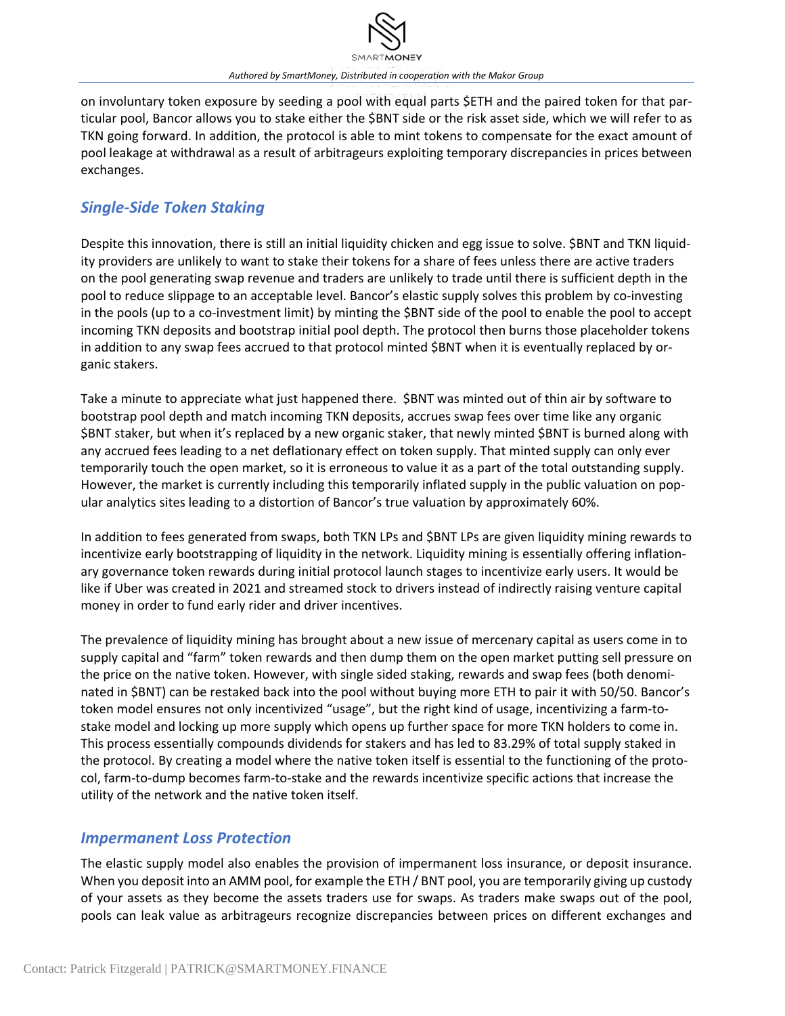

on involuntary token exposure by seeding a pool with equal parts \$ETH and the paired token for that particular pool, Bancor allows you to stake either the \$BNT side or the risk asset side, which we will refer to as TKN going forward. In addition, the protocol is able to mint tokens to compensate for the exact amount of pool leakage at withdrawal as a result of arbitrageurs exploiting temporary discrepancies in prices between exchanges.

#### *Single-Side Token Staking*

Despite this innovation, there is still an initial liquidity chicken and egg issue to solve. \$BNT and TKN liquidity providers are unlikely to want to stake their tokens for a share of fees unless there are active traders on the pool generating swap revenue and traders are unlikely to trade until there is sufficient depth in the pool to reduce slippage to an acceptable level. Bancor's elastic supply solves this problem by co-investing in the pools (up to a co-investment limit) by minting the \$BNT side of the pool to enable the pool to accept incoming TKN deposits and bootstrap initial pool depth. The protocol then burns those placeholder tokens in addition to any swap fees accrued to that protocol minted \$BNT when it is eventually replaced by organic stakers.

Take a minute to appreciate what just happened there. \$BNT was minted out of thin air by software to bootstrap pool depth and match incoming TKN deposits, accrues swap fees over time like any organic \$BNT staker, but when it's replaced by a new organic staker, that newly minted \$BNT is burned along with any accrued fees leading to a net deflationary effect on token supply. That minted supply can only ever temporarily touch the open market, so it is erroneous to value it as a part of the total outstanding supply. However, the market is currently including this temporarily inflated supply in the public valuation on popular analytics sites leading to a distortion of Bancor's true valuation by approximately 60%.

In addition to fees generated from swaps, both TKN LPs and \$BNT LPs are given liquidity mining rewards to incentivize early bootstrapping of liquidity in the network. Liquidity mining is essentially offering inflationary governance token rewards during initial protocol launch stages to incentivize early users. It would be like if Uber was created in 2021 and streamed stock to drivers instead of indirectly raising venture capital money in order to fund early rider and driver incentives.

The prevalence of liquidity mining has brought about a new issue of mercenary capital as users come in to supply capital and "farm" token rewards and then dump them on the open market putting sell pressure on the price on the native token. However, with single sided staking, rewards and swap fees (both denominated in \$BNT) can be restaked back into the pool without buying more ETH to pair it with 50/50. Bancor's token model ensures not only incentivized "usage", but the right kind of usage, incentivizing a farm-tostake model and locking up more supply which opens up further space for more TKN holders to come in. This process essentially compounds dividends for stakers and has led to 83.29% of total supply staked in the protocol. By creating a model where the native token itself is essential to the functioning of the protocol, farm-to-dump becomes farm-to-stake and the rewards incentivize specific actions that increase the utility of the network and the native token itself.

#### *Impermanent Loss Protection*

The elastic supply model also enables the provision of impermanent loss insurance, or deposit insurance. When you deposit into an AMM pool, for example the ETH / BNT pool, you are temporarily giving up custody of your assets as they become the assets traders use for swaps. As traders make swaps out of the pool, pools can leak value as arbitrageurs recognize discrepancies between prices on different exchanges and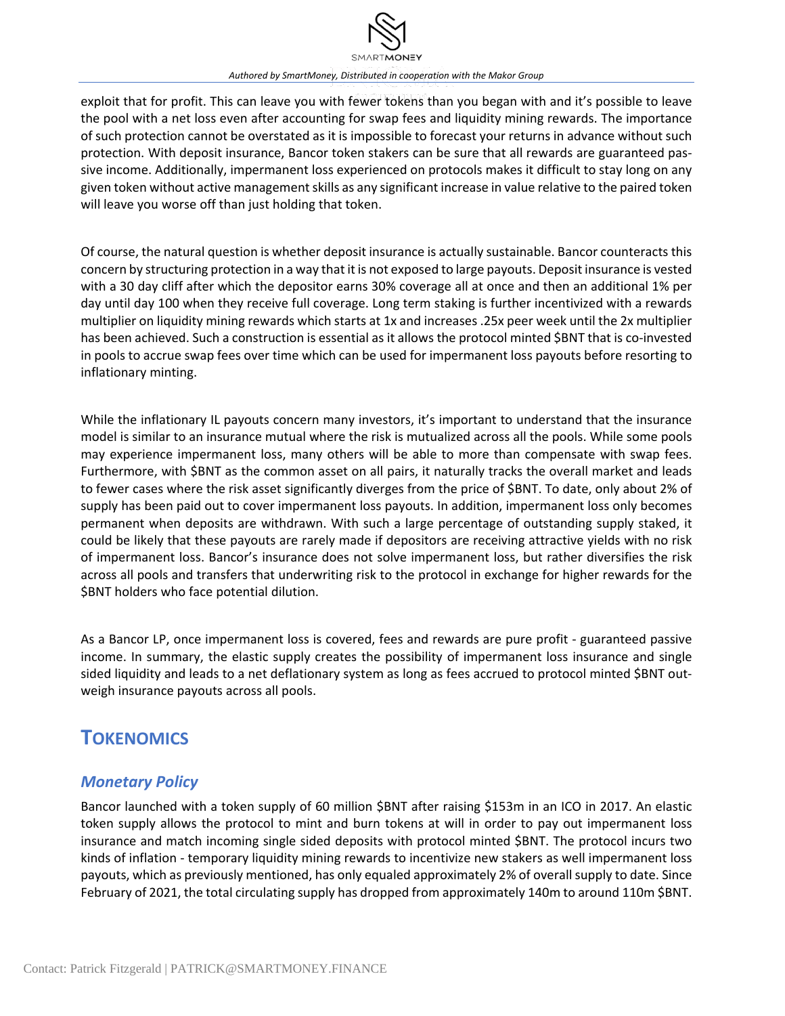

exploit that for profit. This can leave you with fewer tokens than you began with and it's possible to leave the pool with a net loss even after accounting for swap fees and liquidity mining rewards. The importance of such protection cannot be overstated as it is impossible to forecast your returns in advance without such protection. With deposit insurance, Bancor token stakers can be sure that all rewards are guaranteed passive income. Additionally, impermanent loss experienced on protocols makes it difficult to stay long on any given token without active management skills as any significant increase in value relative to the paired token will leave you worse off than just holding that token.

Of course, the natural question is whether deposit insurance is actually sustainable. Bancor counteracts this concern by structuring protection in a way that it is not exposed to large payouts. Deposit insurance is vested with a 30 day cliff after which the depositor earns 30% coverage all at once and then an additional 1% per day until day 100 when they receive full coverage. Long term staking is further incentivized with a rewards multiplier on liquidity mining rewards which starts at 1x and increases .25x peer week until the 2x multiplier has been achieved. Such a construction is essential as it allows the protocol minted \$BNT that is co-invested in pools to accrue swap fees over time which can be used for impermanent loss payouts before resorting to inflationary minting.

While the inflationary IL payouts concern many investors, it's important to understand that the insurance model is similar to an insurance mutual where the risk is mutualized across all the pools. While some pools may experience impermanent loss, many others will be able to more than compensate with swap fees. Furthermore, with \$BNT as the common asset on all pairs, it naturally tracks the overall market and leads to fewer cases where the risk asset significantly diverges from the price of \$BNT. To date, only about 2% of supply has been paid out to cover impermanent loss payouts. In addition, impermanent loss only becomes permanent when deposits are withdrawn. With such a large percentage of outstanding supply staked, it could be likely that these payouts are rarely made if depositors are receiving attractive yields with no risk of impermanent loss. Bancor's insurance does not solve impermanent loss, but rather diversifies the risk across all pools and transfers that underwriting risk to the protocol in exchange for higher rewards for the \$BNT holders who face potential dilution.

As a Bancor LP, once impermanent loss is covered, fees and rewards are pure profit - guaranteed passive income. In summary, the elastic supply creates the possibility of impermanent loss insurance and single sided liquidity and leads to a net deflationary system as long as fees accrued to protocol minted \$BNT outweigh insurance payouts across all pools.

## **TOKENOMICS**

#### *Monetary Policy*

Bancor launched with a token supply of 60 million \$BNT after raising \$153m in an ICO in 2017. An elastic token supply allows the protocol to mint and burn tokens at will in order to pay out impermanent loss insurance and match incoming single sided deposits with protocol minted \$BNT. The protocol incurs two kinds of inflation - temporary liquidity mining rewards to incentivize new stakers as well impermanent loss payouts, which as previously mentioned, has only equaled approximately 2% of overall supply to date. Since February of 2021, the total circulating supply has dropped from approximately 140m to around 110m \$BNT.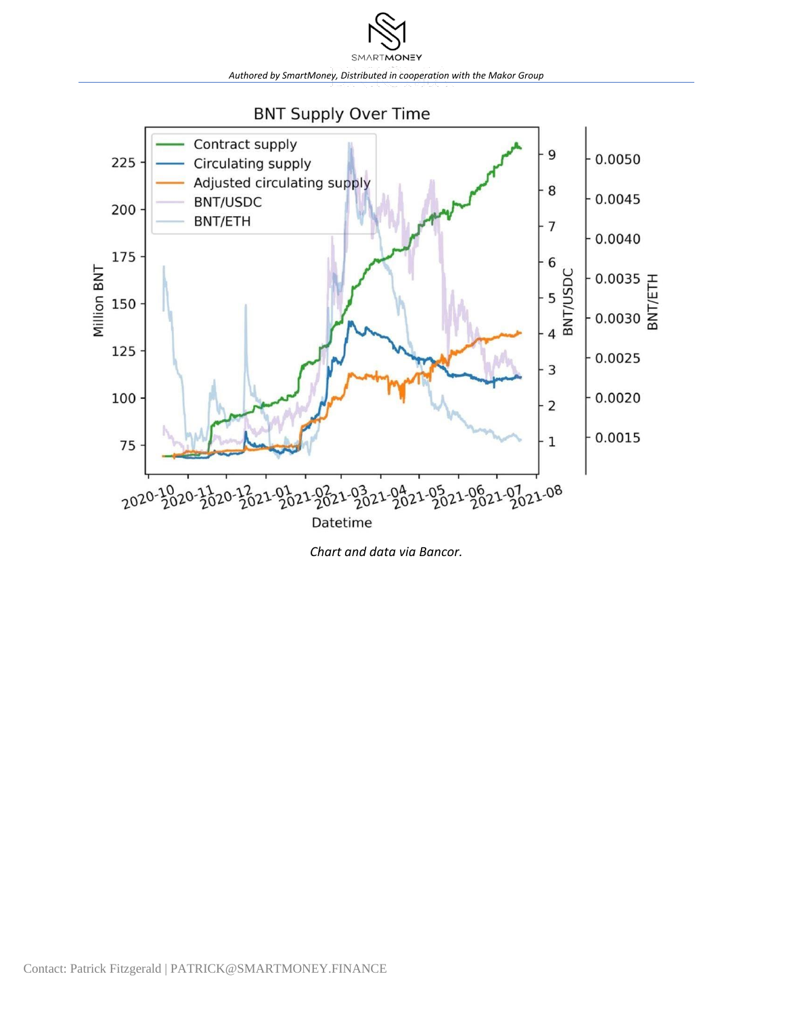



*Chart and data via Bancor.*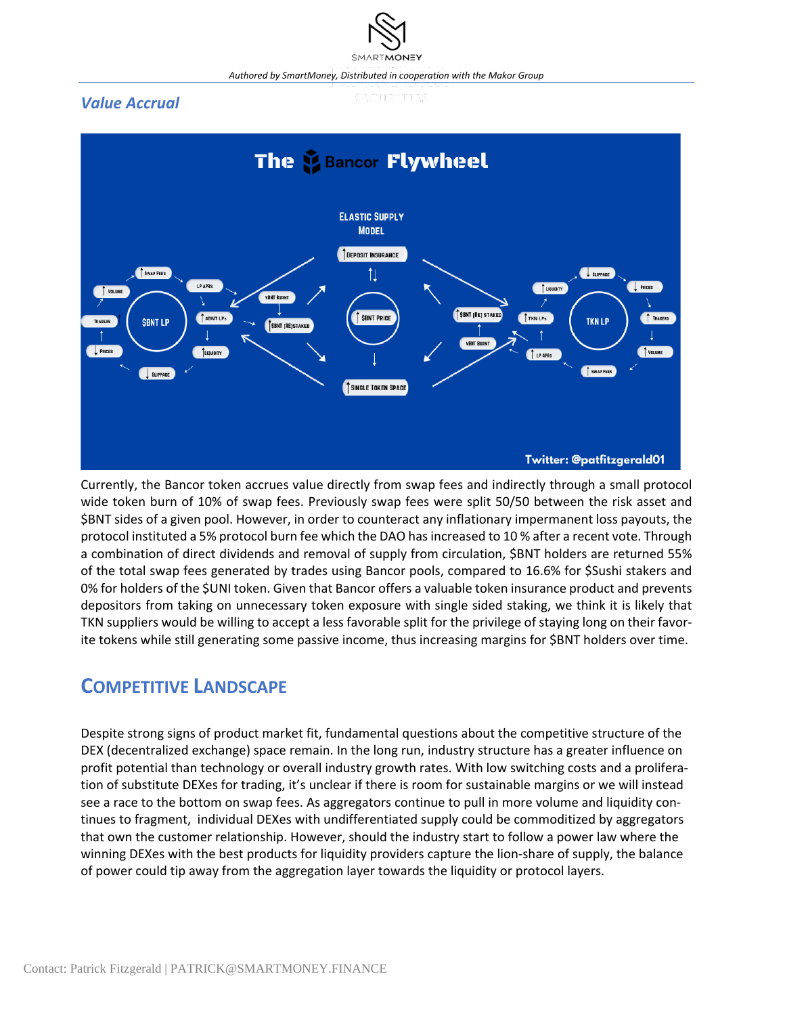#### *Value Accrual*





Currently, the Bancor token accrues value directly from swap fees and indirectly through a small protocol wide token burn of 10% of swap fees. Previously swap fees were split 50/50 between the risk asset and \$BNT sides of a given pool. However, in order to counteract any inflationary impermanent loss payouts, the protocol instituted a 5% protocol burn fee which the DAO has increased to 10 % after a recent vote. Through a combination of direct dividends and removal of supply from circulation, \$BNT holders are returned 55% of the total swap fees generated by trades using Bancor pools, compared to 16.6% for \$Sushi stakers and 0% for holders of the \$UNI token. Given that Bancor offers a valuable token insurance product and prevents depositors from taking on unnecessary token exposure with single sided staking, we think it is likely that TKN suppliers would be willing to accept a less favorable split for the privilege of staying long on their favorite tokens while still generating some passive income, thus increasing margins for \$BNT holders over time.

## **COMPETITIVE LANDSCAPE**

Despite strong signs of product market fit, fundamental questions about the competitive structure of the DEX (decentralized exchange) space remain. In the long run, industry structure has a greater influence on profit potential than technology or overall industry growth rates. With low switching costs and a proliferation of substitute DEXes for trading, it's unclear if there is room for sustainable margins or we will instead see a race to the bottom on swap fees. As aggregators continue to pull in more volume and liquidity continues to fragment, individual DEXes with undifferentiated supply could be commoditized by aggregators that own the customer relationship. However, should the industry start to follow a power law where the winning DEXes with the best products for liquidity providers capture the lion-share of supply, the balance of power could tip away from the aggregation layer towards the liquidity or protocol layers.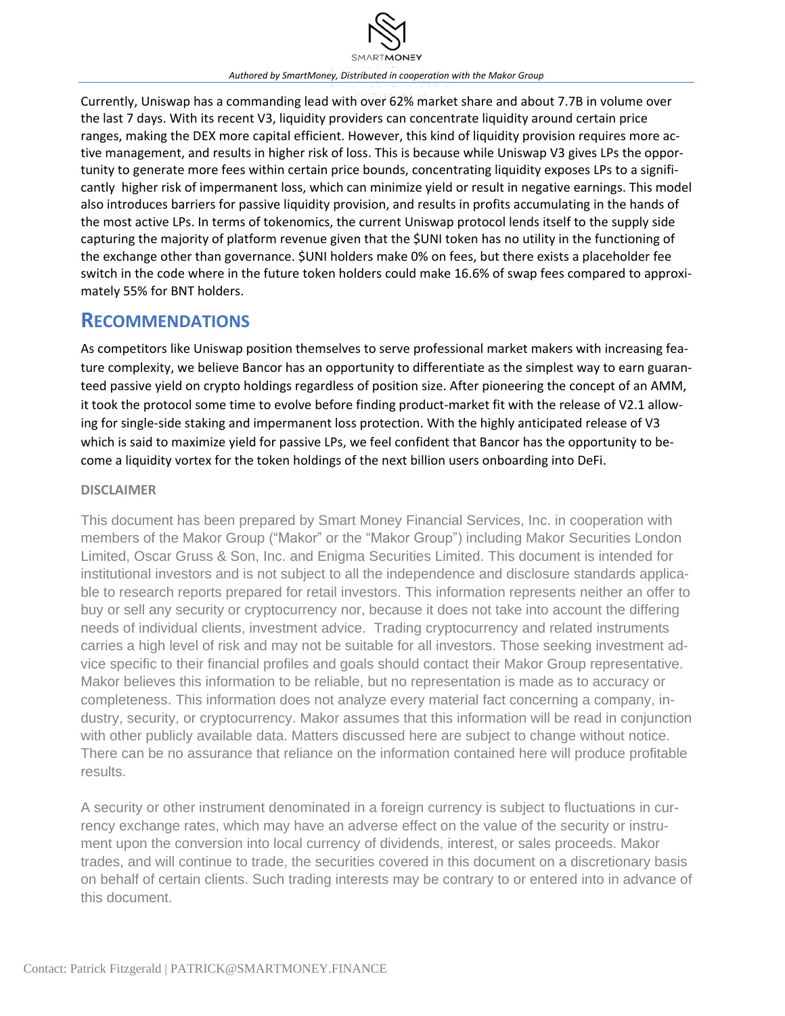

Currently, Uniswap has a commanding lead with over 62% market share and about 7.7B in volume over the last 7 days. With its recent V3, liquidity providers can concentrate liquidity around certain price ranges, making the DEX more capital efficient. However, this kind of liquidity provision requires more active management, and results in higher risk of loss. This is because while Uniswap V3 gives LPs the opportunity to generate more fees within certain price bounds, concentrating liquidity exposes LPs to a significantly higher risk of impermanent loss, which can minimize yield or result in negative earnings. This model also introduces barriers for passive liquidity provision, and results in profits accumulating in the hands of the most active LPs. In terms of tokenomics, the current Uniswap protocol lends itself to the supply side capturing the majority of platform revenue given that the \$UNI token has no utility in the functioning of the exchange other than governance. \$UNI holders make 0% on fees, but there exists a placeholder fee switch in the code where in the future token holders could make 16.6% of swap fees compared to approximately 55% for BNT holders.

### **RECOMMENDATIONS**

As competitors like Uniswap position themselves to serve professional market makers with increasing feature complexity, we believe Bancor has an opportunity to differentiate as the simplest way to earn guaranteed passive yield on crypto holdings regardless of position size. After pioneering the concept of an AMM, it took the protocol some time to evolve before finding product-market fit with the release of V2.1 allowing for single-side staking and impermanent loss protection. With the highly anticipated release of V3 which is said to maximize yield for passive LPs, we feel confident that Bancor has the opportunity to become a liquidity vortex for the token holdings of the next billion users onboarding into DeFi.

#### **DISCLAIMER**

This document has been prepared by Smart Money Financial Services, Inc. in cooperation with members of the Makor Group ("Makor" or the "Makor Group") including Makor Securities London Limited, Oscar Gruss & Son, Inc. and Enigma Securities Limited. This document is intended for institutional investors and is not subject to all the independence and disclosure standards applicable to research reports prepared for retail investors. This information represents neither an offer to buy or sell any security or cryptocurrency nor, because it does not take into account the differing needs of individual clients, investment advice. Trading cryptocurrency and related instruments carries a high level of risk and may not be suitable for all investors. Those seeking investment advice specific to their financial profiles and goals should contact their Makor Group representative. Makor believes this information to be reliable, but no representation is made as to accuracy or completeness. This information does not analyze every material fact concerning a company, industry, security, or cryptocurrency. Makor assumes that this information will be read in conjunction with other publicly available data. Matters discussed here are subject to change without notice. There can be no assurance that reliance on the information contained here will produce profitable results.

A security or other instrument denominated in a foreign currency is subject to fluctuations in currency exchange rates, which may have an adverse effect on the value of the security or instrument upon the conversion into local currency of dividends, interest, or sales proceeds. Makor trades, and will continue to trade, the securities covered in this document on a discretionary basis on behalf of certain clients. Such trading interests may be contrary to or entered into in advance of this document.